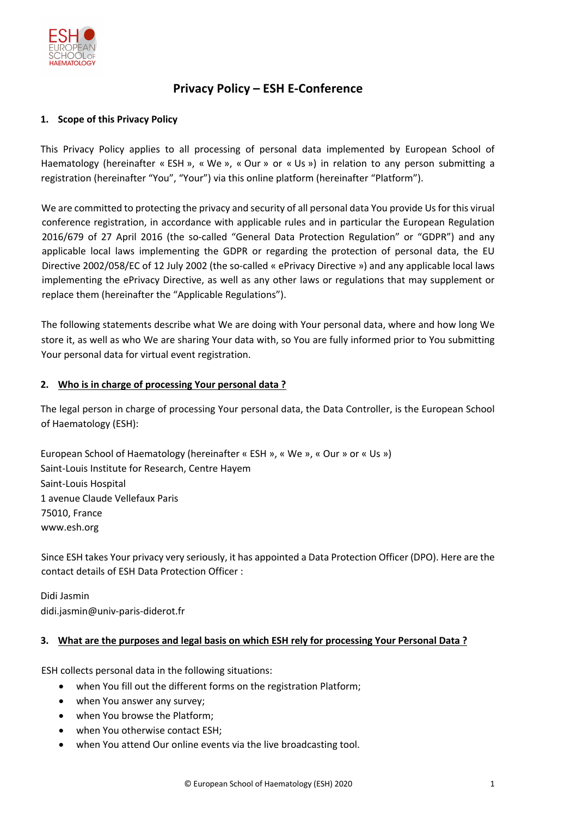

# **Privacy Policy – ESH E-Conference**

## **1. Scope of this Privacy Policy**

This Privacy Policy applies to all processing of personal data implemented by European School of Haematology (hereinafter « ESH », « We », « Our » or « Us ») in relation to any person submitting a registration (hereinafter "You", "Your") via this online platform (hereinafter "Platform").

We are committed to protecting the privacy and security of all personal data You provide Us for this virual conference registration, in accordance with applicable rules and in particular the European Regulation 2016/679 of 27 April 2016 (the so-called "General Data Protection Regulation" or "GDPR") and any applicable local laws implementing the GDPR or regarding the protection of personal data, the EU Directive 2002/058/EC of 12 July 2002 (the so-called « ePrivacy Directive ») and any applicable local laws implementing the ePrivacy Directive, as well as any other laws or regulations that may supplement or replace them (hereinafter the "Applicable Regulations").

The following statements describe what We are doing with Your personal data, where and how long We store it, as well as who We are sharing Your data with, so You are fully informed prior to You submitting Your personal data for virtual event registration.

### **2. Who is in charge of processing Your personal data ?**

The legal person in charge of processing Your personal data, the Data Controller, is the European School of Haematology (ESH):

European School of Haematology (hereinafter « ESH », « We », « Our » or « Us ») Saint-Louis Institute for Research, Centre Hayem Saint-Louis Hospital 1 avenue Claude Vellefaux Paris 75010, France www.esh.org

Since ESH takes Your privacy very seriously, it has appointed a Data Protection Officer (DPO). Here are the contact details of ESH Data Protection Officer :

Didi Jasmin didi.jasmin@univ-paris-diderot.fr

#### **3. What are the purposes and legal basis on which ESH rely for processing Your Personal Data ?**

ESH collects personal data in the following situations:

- when You fill out the different forms on the registration Platform;
- when You answer any survey;
- when You browse the Platform;
- when You otherwise contact ESH:
- when You attend Our online events via the live broadcasting tool.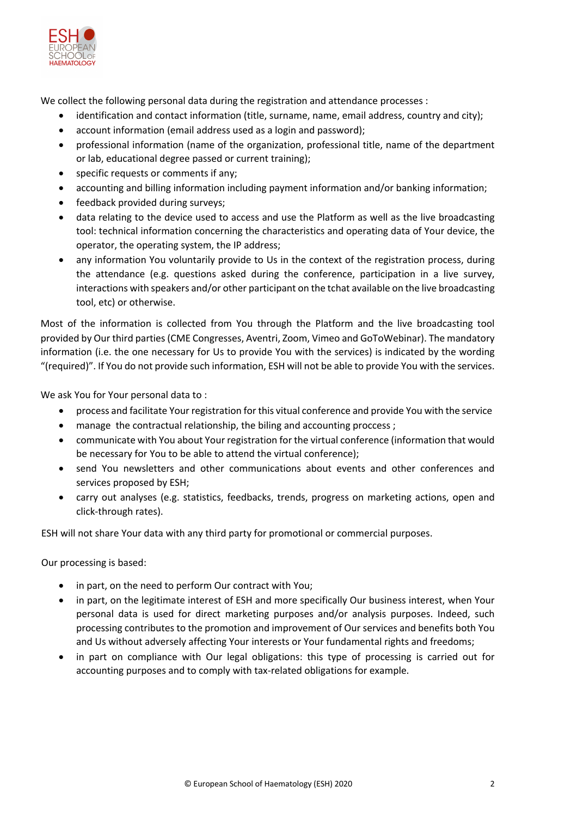

We collect the following personal data during the registration and attendance processes :

- identification and contact information (title, surname, name, email address, country and city);
- account information (email address used as a login and password);
- professional information (name of the organization, professional title, name of the department or lab, educational degree passed or current training);
- specific requests or comments if any;
- accounting and billing information including payment information and/or banking information;
- feedback provided during surveys;
- data relating to the device used to access and use the Platform as well as the live broadcasting tool: technical information concerning the characteristics and operating data of Your device, the operator, the operating system, the IP address;
- any information You voluntarily provide to Us in the context of the registration process, during the attendance (e.g. questions asked during the conference, participation in a live survey, interactions with speakers and/or other participant on the tchat available on the live broadcasting tool, etc) or otherwise.

Most of the information is collected from You through the Platform and the live broadcasting tool provided by Our third parties(CME Congresses, Aventri, Zoom, Vimeo and GoToWebinar). The mandatory information (i.e. the one necessary for Us to provide You with the services) is indicated by the wording "(required)". If You do not provide such information, ESH will not be able to provide You with the services.

We ask You for Your personal data to :

- process and facilitate Your registration for this vitual conference and provide You with the service
- manage the contractual relationship, the biling and accounting proccess ;
- communicate with You about Your registration for the virtual conference (information that would be necessary for You to be able to attend the virtual conference);
- send You newsletters and other communications about events and other conferences and services proposed by ESH;
- carry out analyses (e.g. statistics, feedbacks, trends, progress on marketing actions, open and click-through rates).

ESH will not share Your data with any third party for promotional or commercial purposes.

Our processing is based:

- in part, on the need to perform Our contract with You;
- in part, on the legitimate interest of ESH and more specifically Our business interest, when Your personal data is used for direct marketing purposes and/or analysis purposes. Indeed, such processing contributes to the promotion and improvement of Our services and benefits both You and Us without adversely affecting Your interests or Your fundamental rights and freedoms;
- in part on compliance with Our legal obligations: this type of processing is carried out for accounting purposes and to comply with tax-related obligations for example.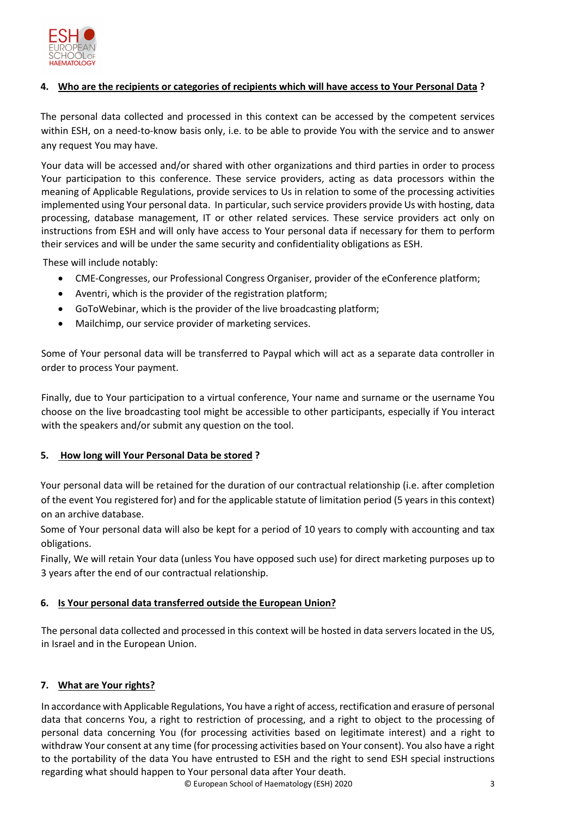

# **4. Who are the recipients or categories of recipients which will have access to Your Personal Data ?**

The personal data collected and processed in this context can be accessed by the competent services within ESH, on a need-to-know basis only, i.e. to be able to provide You with the service and to answer any request You may have.

Your data will be accessed and/or shared with other organizations and third parties in order to process Your participation to this conference. These service providers, acting as data processors within the meaning of Applicable Regulations, provide services to Us in relation to some of the processing activities implemented using Your personal data. In particular, such service providers provide Us with hosting, data processing, database management, IT or other related services. These service providers act only on instructions from ESH and will only have access to Your personal data if necessary for them to perform their services and will be under the same security and confidentiality obligations as ESH.

These will include notably:

- CME-Congresses, our Professional Congress Organiser, provider of the eConference platform;
- Aventri, which is the provider of the registration platform:
- GoToWebinar, which is the provider of the live broadcasting platform;
- Mailchimp, our service provider of marketing services.

Some of Your personal data will be transferred to Paypal which will act as a separate data controller in order to process Your payment.

Finally, due to Your participation to a virtual conference, Your name and surname or the username You choose on the live broadcasting tool might be accessible to other participants, especially if You interact with the speakers and/or submit any question on the tool.

# **5. How long will Your Personal Data be stored ?**

Your personal data will be retained for the duration of our contractual relationship (i.e. after completion of the event You registered for) and for the applicable statute of limitation period (5 years in this context) on an archive database.

Some of Your personal data will also be kept for a period of 10 years to comply with accounting and tax obligations.

Finally, We will retain Your data (unless You have opposed such use) for direct marketing purposes up to 3 years after the end of our contractual relationship.

# **6. Is Your personal data transferred outside the European Union?**

The personal data collected and processed in this context will be hosted in data servers located in the US, in Israel and in the European Union.

# **7. What are Your rights?**

In accordance with Applicable Regulations, You have a right of access, rectification and erasure of personal data that concerns You, a right to restriction of processing, and a right to object to the processing of personal data concerning You (for processing activities based on legitimate interest) and a right to withdraw Your consent at any time (for processing activities based on Your consent). You also have a right to the portability of the data You have entrusted to ESH and the right to send ESH special instructions regarding what should happen to Your personal data after Your death.

© European School of Haematology (ESH) 2020 3